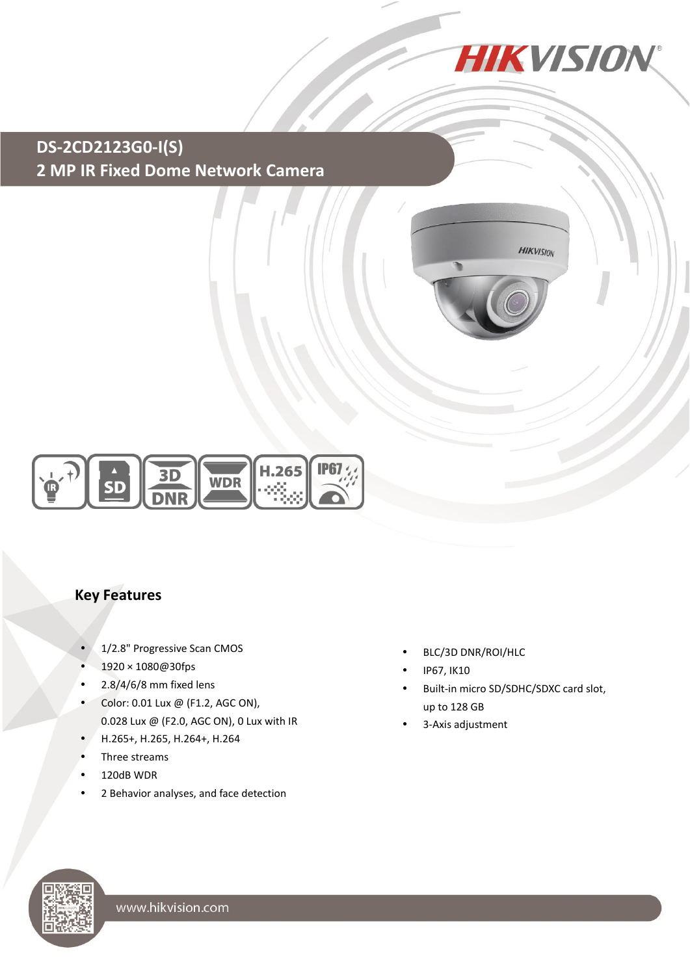

## **DS-2CD2123G0-I(S) 2 MP IR Fixed Dome Network Camera**





#### **Key Features**

- 1/2.8" Progressive Scan CMOS
- 1920 × 1080@30fps
- $\cdot$  2.8/4/6/8 mm fixed lens
- Color: 0.01 Lux @ (F1.2, AGC ON), 0.028 Lux @ (F2.0, AGC ON), 0 Lux with IR
- H.265+, H.265, H.264+, H.264
- Three streams
- 120dB WDR
- 2 Behavior analyses, and face detection
- BLC/3D DNR/ROI/HLC
- IP67, IK10
- Built-in micro SD/SDHC/SDXC card slot, up to 128 GB
- 3-Axis adjustment

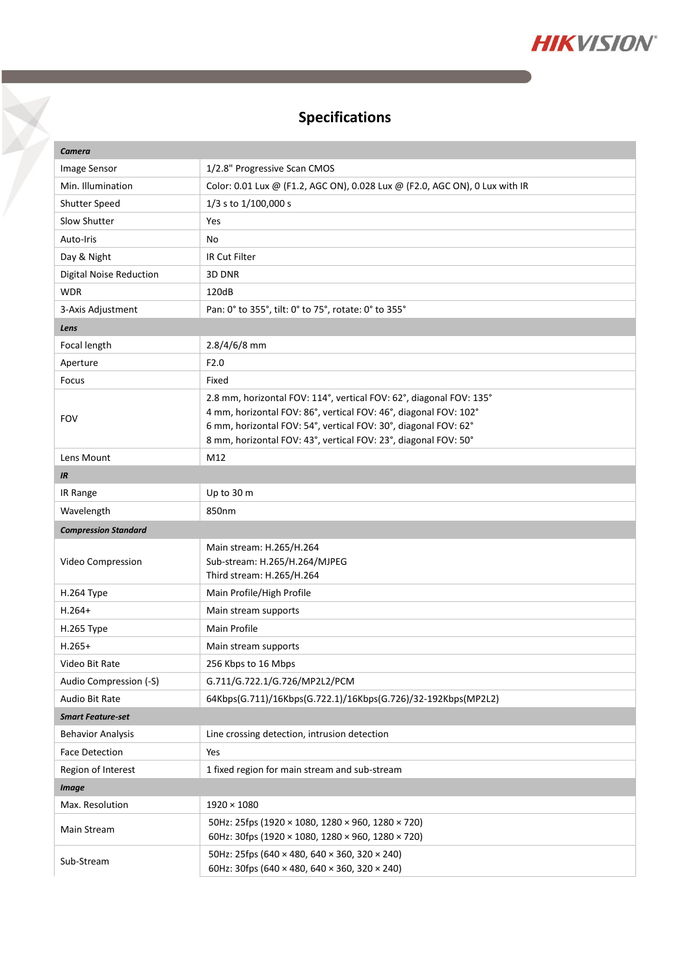

## **Specifications**

 $\triangledown$ 

| <b>Camera</b>                  |                                                                                                                                                                                                                                                                               |  |
|--------------------------------|-------------------------------------------------------------------------------------------------------------------------------------------------------------------------------------------------------------------------------------------------------------------------------|--|
| Image Sensor                   | 1/2.8" Progressive Scan CMOS                                                                                                                                                                                                                                                  |  |
| Min. Illumination              | Color: 0.01 Lux @ (F1.2, AGC ON), 0.028 Lux @ (F2.0, AGC ON), 0 Lux with IR                                                                                                                                                                                                   |  |
| <b>Shutter Speed</b>           | 1/3 s to 1/100,000 s                                                                                                                                                                                                                                                          |  |
| Slow Shutter                   | Yes                                                                                                                                                                                                                                                                           |  |
| Auto-Iris                      | No                                                                                                                                                                                                                                                                            |  |
| Day & Night                    | IR Cut Filter                                                                                                                                                                                                                                                                 |  |
| <b>Digital Noise Reduction</b> | 3D DNR                                                                                                                                                                                                                                                                        |  |
| <b>WDR</b>                     | 120dB                                                                                                                                                                                                                                                                         |  |
| 3-Axis Adjustment              | Pan: 0° to 355°, tilt: 0° to 75°, rotate: 0° to 355°                                                                                                                                                                                                                          |  |
| Lens                           |                                                                                                                                                                                                                                                                               |  |
| Focal length                   | 2.8/4/6/8 mm                                                                                                                                                                                                                                                                  |  |
| Aperture                       | F2.0                                                                                                                                                                                                                                                                          |  |
| Focus                          | Fixed                                                                                                                                                                                                                                                                         |  |
| <b>FOV</b>                     | 2.8 mm, horizontal FOV: 114°, vertical FOV: 62°, diagonal FOV: 135°<br>4 mm, horizontal FOV: 86°, vertical FOV: 46°, diagonal FOV: 102°<br>6 mm, horizontal FOV: 54°, vertical FOV: 30°, diagonal FOV: 62°<br>8 mm, horizontal FOV: 43°, vertical FOV: 23°, diagonal FOV: 50° |  |
| Lens Mount                     | M12                                                                                                                                                                                                                                                                           |  |
| IR                             |                                                                                                                                                                                                                                                                               |  |
| IR Range                       | Up to 30 m                                                                                                                                                                                                                                                                    |  |
| Wavelength                     | 850nm                                                                                                                                                                                                                                                                         |  |
| <b>Compression Standard</b>    |                                                                                                                                                                                                                                                                               |  |
| Video Compression              | Main stream: H.265/H.264<br>Sub-stream: H.265/H.264/MJPEG<br>Third stream: H.265/H.264                                                                                                                                                                                        |  |
| H.264 Type                     | Main Profile/High Profile                                                                                                                                                                                                                                                     |  |
| $H.264+$                       | Main stream supports                                                                                                                                                                                                                                                          |  |
| H.265 Type                     | Main Profile                                                                                                                                                                                                                                                                  |  |
| $H.265+$                       | Main stream supports                                                                                                                                                                                                                                                          |  |
| Video Bit Rate                 | 256 Kbps to 16 Mbps                                                                                                                                                                                                                                                           |  |
| Audio Compression (-S)         | G.711/G.722.1/G.726/MP2L2/PCM                                                                                                                                                                                                                                                 |  |
| Audio Bit Rate                 | 64Kbps(G.711)/16Kbps(G.722.1)/16Kbps(G.726)/32-192Kbps(MP2L2)                                                                                                                                                                                                                 |  |
| <b>Smart Feature-set</b>       |                                                                                                                                                                                                                                                                               |  |
| <b>Behavior Analysis</b>       | Line crossing detection, intrusion detection                                                                                                                                                                                                                                  |  |
| <b>Face Detection</b>          | Yes                                                                                                                                                                                                                                                                           |  |
| Region of Interest             | 1 fixed region for main stream and sub-stream                                                                                                                                                                                                                                 |  |
| <b>Image</b>                   |                                                                                                                                                                                                                                                                               |  |
| Max. Resolution                | $1920 \times 1080$                                                                                                                                                                                                                                                            |  |
| Main Stream                    | 50Hz: 25fps (1920 × 1080, 1280 × 960, 1280 × 720)                                                                                                                                                                                                                             |  |
|                                | 60Hz: 30fps (1920 × 1080, 1280 × 960, 1280 × 720)                                                                                                                                                                                                                             |  |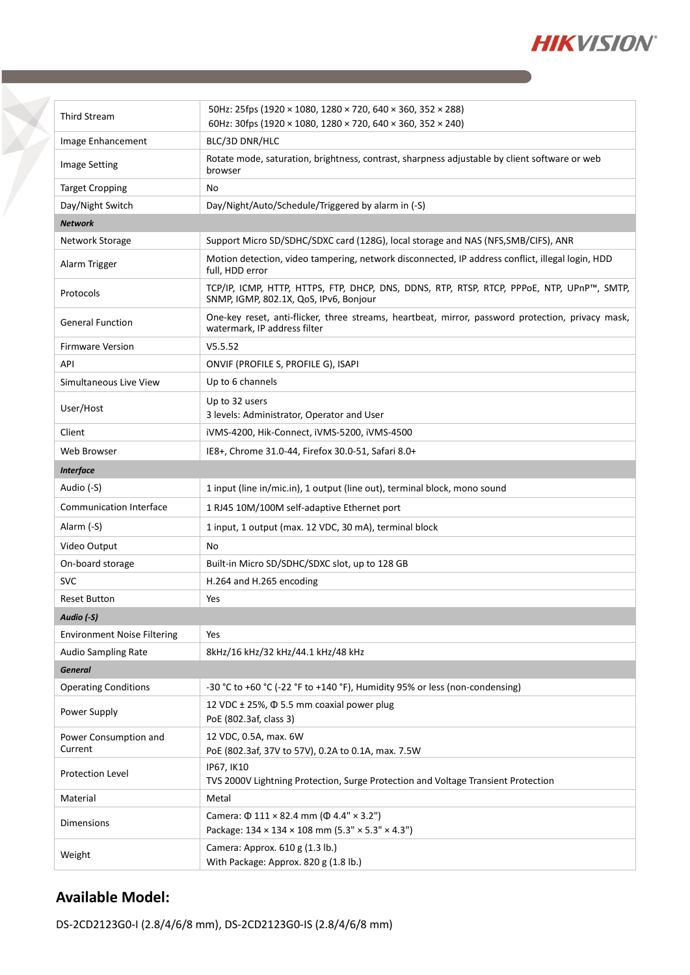

| <b>Third Stream</b>                | 50Hz: 25fps (1920 × 1080, 1280 × 720, 640 × 360, 352 × 288)<br>60Hz: 30fps (1920 × 1080, 1280 × 720, 640 × 360, 352 × 240)           |  |
|------------------------------------|--------------------------------------------------------------------------------------------------------------------------------------|--|
| Image Enhancement                  | BLC/3D DNR/HLC                                                                                                                       |  |
| <b>Image Setting</b>               | Rotate mode, saturation, brightness, contrast, sharpness adjustable by client software or web<br>browser                             |  |
| <b>Target Cropping</b>             | No                                                                                                                                   |  |
| Day/Night Switch                   | Day/Night/Auto/Schedule/Triggered by alarm in (-S)                                                                                   |  |
| <b>Network</b>                     |                                                                                                                                      |  |
| Network Storage                    | Support Micro SD/SDHC/SDXC card (128G), local storage and NAS (NFS, SMB/CIFS), ANR                                                   |  |
| Alarm Trigger                      | Motion detection, video tampering, network disconnected, IP address conflict, illegal login, HDD<br>full, HDD error                  |  |
| Protocols                          | TCP/IP, ICMP, HTTP, HTTPS, FTP, DHCP, DNS, DDNS, RTP, RTSP, RTCP, PPPOE, NTP, UPnP™, SMTP,<br>SNMP, IGMP, 802.1X, QoS, IPv6, Bonjour |  |
| <b>General Function</b>            | One-key reset, anti-flicker, three streams, heartbeat, mirror, password protection, privacy mask,<br>watermark, IP address filter    |  |
| <b>Firmware Version</b>            | V5.5.52                                                                                                                              |  |
| API                                | ONVIF (PROFILE S, PROFILE G), ISAPI                                                                                                  |  |
| Simultaneous Live View             | Up to 6 channels                                                                                                                     |  |
| User/Host                          | Up to 32 users<br>3 levels: Administrator, Operator and User                                                                         |  |
| Client                             | iVMS-4200, Hik-Connect, iVMS-5200, iVMS-4500                                                                                         |  |
| Web Browser                        | IE8+, Chrome 31.0-44, Firefox 30.0-51, Safari 8.0+                                                                                   |  |
| <b>Interface</b>                   |                                                                                                                                      |  |
| Audio (-S)                         | 1 input (line in/mic.in), 1 output (line out), terminal block, mono sound                                                            |  |
| <b>Communication Interface</b>     | 1 RJ45 10M/100M self-adaptive Ethernet port                                                                                          |  |
| Alarm (-S)                         | 1 input, 1 output (max. 12 VDC, 30 mA), terminal block                                                                               |  |
| Video Output                       | No                                                                                                                                   |  |
| On-board storage                   | Built-in Micro SD/SDHC/SDXC slot, up to 128 GB                                                                                       |  |
| <b>SVC</b>                         | H.264 and H.265 encoding                                                                                                             |  |
| <b>Reset Button</b>                | Yes                                                                                                                                  |  |
| Audio (-S)                         |                                                                                                                                      |  |
| <b>Environment Noise Filtering</b> | Yes                                                                                                                                  |  |
| <b>Audio Sampling Rate</b>         | 8kHz/16 kHz/32 kHz/44.1 kHz/48 kHz                                                                                                   |  |
| <b>General</b>                     |                                                                                                                                      |  |
| <b>Operating Conditions</b>        | -30 °C to +60 °C (-22 °F to +140 °F), Humidity 95% or less (non-condensing)                                                          |  |
| Power Supply                       | 12 VDC ± 25%, Φ 5.5 mm coaxial power plug<br>PoE (802.3af, class 3)                                                                  |  |
| Power Consumption and<br>Current   | 12 VDC, 0.5A, max. 6W<br>PoE (802.3af, 37V to 57V), 0.2A to 0.1A, max. 7.5W                                                          |  |
| Protection Level                   | IP67, IK10<br>TVS 2000V Lightning Protection, Surge Protection and Voltage Transient Protection                                      |  |
| Material                           | Metal                                                                                                                                |  |
| Dimensions                         | Camera: $\Phi$ 111 × 82.4 mm ( $\Phi$ 4.4" × 3.2")<br>Package: 134 × 134 × 108 mm (5.3" × 5.3" × 4.3")                               |  |
| Weight                             | Camera: Approx. 610 g (1.3 lb.)<br>With Package: Approx. 820 g (1.8 lb.)                                                             |  |

#### **Available Model:**